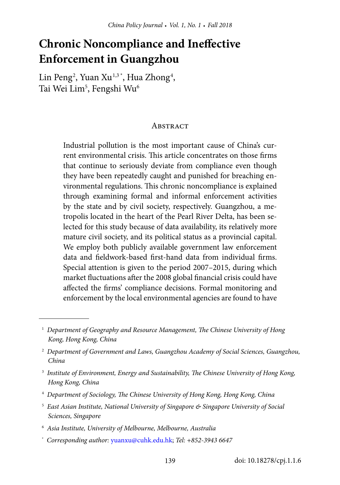# **Chronic Noncompliance and Ineffective Enforcement in Guangzhou**

Lin Peng<sup>2</sup>, Yuan Xu<sup>1,3\*</sup>, Hua Zhong<sup>4</sup>, Tai Wei Lim $^5$ , Fengshi Wu $^6$ 

### **ABSTRACT**

Industrial pollution is the most important cause of China's current environmental crisis. This article concentrates on those firms that continue to seriously deviate from compliance even though they have been repeatedly caught and punished for breaching environmental regulations. This chronic noncompliance is explained through examining formal and informal enforcement activities by the state and by civil society, respectively. Guangzhou, a metropolis located in the heart of the Pearl River Delta, has been selected for this study because of data availability, its relatively more mature civil society, and its political status as a provincial capital. We employ both publicly available government law enforcement data and fieldwork-based first-hand data from individual firms. Special attention is given to the period 2007–2015, during which market fluctuations after the 2008 global financial crisis could have affected the firms' compliance decisions. Formal monitoring and enforcement by the local environmental agencies are found to have

- 4 *Department of Sociology, The Chinese University of Hong Kong, Hong Kong, China*
- <sup>5</sup> East Asian Institute, National University of Singapore & Singapore University of Social *Sciences, Singapore*
- 6 *Asia Institute, University of Melbourne, Melbourne, Australia*
- \* *Corresponding author:* [yuanxu@cuhk.edu.hk](mailto:yuanxu%40cuhk.edu.hk?subject=); *Tel: +852-3943 6647*

<sup>&</sup>lt;sup>1</sup> Department of Geography and Resource Management, The Chinese University of Hong *Kong, Hong Kong, China*

<sup>2</sup> *Department of Government and Laws, Guangzhou Academy of Social Sciences, Guangzhou, China*

<sup>&</sup>lt;sup>3</sup> Institute of Environment, Energy and Sustainability, The Chinese University of Hong Kong, *Hong Kong, China*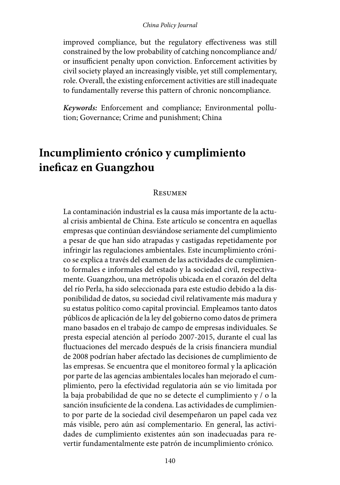#### *China Policy Journal*

improved compliance, but the regulatory effectiveness was still constrained by the low probability of catching noncompliance and/ or insufficient penalty upon conviction. Enforcement activities by civil society played an increasingly visible, yet still complementary, role. Overall, the existing enforcement activities are still inadequate to fundamentally reverse this pattern of chronic noncompliance.

*Keywords:* Enforcement and compliance; Environmental pollution; Governance; Crime and punishment; China

# **Incumplimiento crónico y cumplimiento ineficaz en Guangzhou**

#### Resumen

La contaminación industrial es la causa más importante de la actual crisis ambiental de China. Este artículo se concentra en aquellas empresas que continúan desviándose seriamente del cumplimiento a pesar de que han sido atrapadas y castigadas repetidamente por infringir las regulaciones ambientales. Este incumplimiento crónico se explica a través del examen de las actividades de cumplimiento formales e informales del estado y la sociedad civil, respectivamente. Guangzhou, una metrópolis ubicada en el corazón del delta del río Perla, ha sido seleccionada para este estudio debido a la disponibilidad de datos, su sociedad civil relativamente más madura y su estatus político como capital provincial. Empleamos tanto datos públicos de aplicación de la ley del gobierno como datos de primera mano basados en el trabajo de campo de empresas individuales. Se presta especial atención al período 2007-2015, durante el cual las fluctuaciones del mercado después de la crisis financiera mundial de 2008 podrían haber afectado las decisiones de cumplimiento de las empresas. Se encuentra que el monitoreo formal y la aplicación por parte de las agencias ambientales locales han mejorado el cumplimiento, pero la efectividad regulatoria aún se vio limitada por la baja probabilidad de que no se detecte el cumplimiento y / o la sanción insuficiente de la condena. Las actividades de cumplimiento por parte de la sociedad civil desempeñaron un papel cada vez más visible, pero aún así complementario. En general, las actividades de cumplimiento existentes aún son inadecuadas para revertir fundamentalmente este patrón de incumplimiento crónico.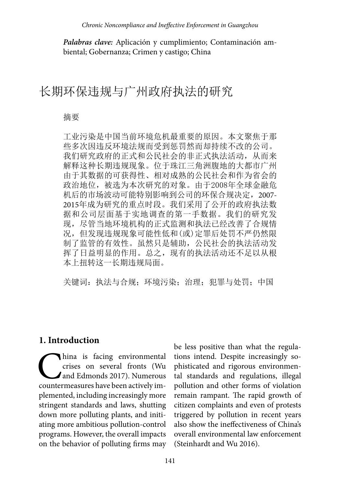*Palabras clave:* Aplicación y cumplimiento; Contaminación ambiental; Gobernanza; Crimen y castigo; China

# 长期环保违规与广州政府执法的研究

#### 摘要

工业污染是中国当前环境危机最重要的原因。本文聚焦于那 些多次因违反环境法规而受到惩罚然而却持续不改的公司。 我们研究政府的正式和公民社会的非正式执法活动,从而来 解释这种长期违规现象。位于珠江三角洲腹地的大都市广州 由于其数据的可获得性、相对成熟的公民社会和作为省会的 政治地位,被选为本次研究的对象。由于2008年全球金融危 机后的市场波动可能特别影响到公司的环保合规决定,2007- 2015年成为研究的重点时段。我们采用了公开的政府执法数 据和公司层面基于实地调查的第一手数据。我们的研究发 现,尽管当地环境机构的正式监测和执法已经改善了合规情 况,但发现违规现象可能性低和(或)定罪后处罚不严仍然限 制了监管的有效性。虽然只是辅助,公民社会的执法活动发 挥了日益明显的作用。总之,现有的执法活动还不足以从根 本上扭转这一长期违规局面。

关键词:执法与合规;环境污染;治理;犯罪与处罚;中国

### **1. Introduction**

hina is facing environmental<br>crises on several fronts (Wu<br>and Edmonds 2017). Numerous<br>countermeasures have been actively imcrises on several fronts (Wu and Edmonds 2017). Numerous countermeasures have been actively implemented, including increasingly more stringent standards and laws, shutting down more polluting plants, and initiating more ambitious pollution-control programs. However, the overall impacts on the behavior of polluting firms may be less positive than what the regulations intend. Despite increasingly sophisticated and rigorous environmental standards and regulations, illegal pollution and other forms of violation remain rampant. The rapid growth of citizen complaints and even of protests triggered by pollution in recent years also show the ineffectiveness of China's overall environmental law enforcement (Steinhardt and Wu 2016).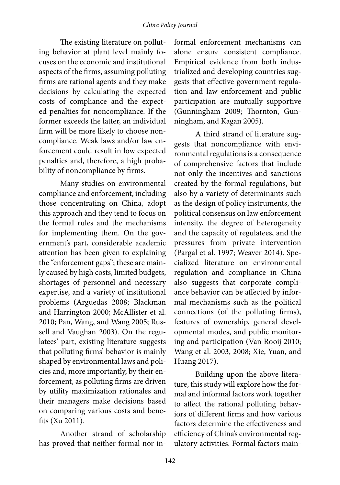#### *China Policy Journal*

The existing literature on polluting behavior at plant level mainly focuses on the economic and institutional aspects of the firms, assuming polluting firms are rational agents and they make decisions by calculating the expected costs of compliance and the expected penalties for noncompliance. If the former exceeds the latter, an individual firm will be more likely to choose noncompliance. Weak laws and/or law enforcement could result in low expected penalties and, therefore, a high probability of noncompliance by firms.

Many studies on environmental compliance and enforcement, including those concentrating on China, adopt this approach and they tend to focus on the formal rules and the mechanisms for implementing them. On the government's part, considerable academic attention has been given to explaining the "enforcement gaps"; these are mainly caused by high costs, limited budgets, shortages of personnel and necessary expertise, and a variety of institutional problems (Arguedas 2008; Blackman and Harrington 2000; McAllister et al. 2010; Pan, Wang, and Wang 2005; Russell and Vaughan 2003). On the regulatees' part, existing literature suggests that polluting firms' behavior is mainly shaped by environmental laws and policies and, more importantly, by their enforcement, as polluting firms are driven by utility maximization rationales and their managers make decisions based on comparing various costs and benefits (Xu 2011).

Another strand of scholarship has proved that neither formal nor in-

formal enforcement mechanisms can alone ensure consistent compliance. Empirical evidence from both industrialized and developing countries suggests that effective government regulation and law enforcement and public participation are mutually supportive (Gunningham 2009; Thornton, Gunningham, and Kagan 2005).

A third strand of literature suggests that noncompliance with environmental regulations is a consequence of comprehensive factors that include not only the incentives and sanctions created by the formal regulations, but also by a variety of determinants such as the design of policy instruments, the political consensus on law enforcement intensity, the degree of heterogeneity and the capacity of regulatees, and the pressures from private intervention (Pargal et al. 1997; Weaver 2014). Specialized literature on environmental regulation and compliance in China also suggests that corporate compliance behavior can be affected by informal mechanisms such as the political connections (of the polluting firms), features of ownership, general developmental modes, and public monitoring and participation (Van Rooij 2010; Wang et al. 2003, 2008; Xie, Yuan, and Huang 2017).

Building upon the above literature, this study will explore how the formal and informal factors work together to affect the rational polluting behaviors of different firms and how various factors determine the effectiveness and efficiency of China's environmental regulatory activities. Formal factors main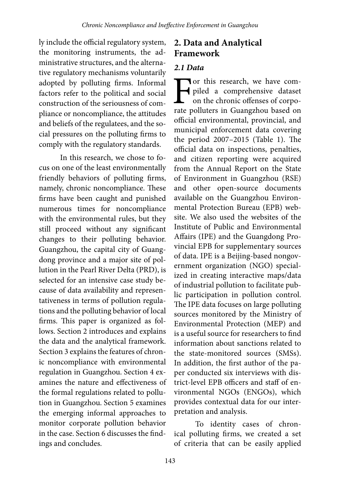ly include the official regulatory system, the monitoring instruments, the administrative structures, and the alternative regulatory mechanisms voluntarily adopted by polluting firms. Informal factors refer to the political and social construction of the seriousness of compliance or noncompliance, the attitudes and beliefs of the regulatees, and the social pressures on the polluting firms to comply with the regulatory standards.

In this research, we chose to focus on one of the least environmentally friendly behaviors of polluting firms, namely, chronic noncompliance. These firms have been caught and punished numerous times for noncompliance with the environmental rules, but they still proceed without any significant changes to their polluting behavior. Guangzhou, the capital city of Guangdong province and a major site of pollution in the Pearl River Delta (PRD), is selected for an intensive case study because of data availability and representativeness in terms of pollution regulations and the polluting behavior of local firms. This paper is organized as follows. Section 2 introduces and explains the data and the analytical framework. Section 3 explains the features of chronic noncompliance with environmental regulation in Guangzhou. Section 4 examines the nature and effectiveness of the formal regulations related to pollution in Guangzhou. Section 5 examines the emerging informal approaches to monitor corporate pollution behavior in the case. Section 6 discusses the findings and concludes.

## **2. Data and Analytical Framework**

### *2.1 Data*

For this research, we have com-<br>piled a comprehensive dataset<br>on the chronic offenses of corpo-<br>rate polluters in Guangzhou based on piled a comprehensive dataset on the chronic offenses of corporate polluters in Guangzhou based on official environmental, provincial, and municipal enforcement data covering the period 2007–2015 (Table 1). The official data on inspections, penalties, and citizen reporting were acquired from the Annual Report on the State of Environment in Guangzhou (RSE) and other open-source documents available on the Guangzhou Environmental Protection Bureau (EPB) website. We also used the websites of the Institute of Public and Environmental Affairs (IPE) and the Guangdong Provincial EPB for supplementary sources of data. IPE is a Beijing-based nongovernment organization (NGO) specialized in creating interactive maps/data of industrial pollution to facilitate public participation in pollution control. The IPE data focuses on large polluting sources monitored by the Ministry of Environmental Protection (MEP) and is a useful source for researchers to find information about sanctions related to the state-monitored sources (SMSs). In addition, the first author of the paper conducted six interviews with district-level EPB officers and staff of environmental NGOs (ENGOs), which provides contextual data for our interpretation and analysis.

To identity cases of chronical polluting firms, we created a set of criteria that can be easily applied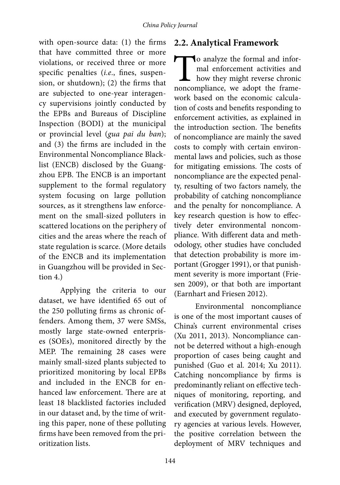with open-source data: (1) the firms that have committed three or more violations, or received three or more specific penalties (*i.e*., fines, suspension, or shutdown); (2) the firms that are subjected to one-year interagency supervisions jointly conducted by the EPBs and Bureaus of Discipline Inspection (BODI) at the municipal or provincial level (*gua pai du ban*); and (3) the firms are included in the Environmental Noncompliance Blacklist (ENCB) disclosed by the Guangzhou EPB. The ENCB is an important supplement to the formal regulatory system focusing on large pollution sources, as it strengthens law enforcement on the small-sized polluters in scattered locations on the periphery of cities and the areas where the reach of state regulation is scarce. (More details of the ENCB and its implementation in Guangzhou will be provided in Section 4.)

Applying the criteria to our dataset, we have identified 65 out of the 250 polluting firms as chronic offenders. Among them, 37 were SMSs, mostly large state-owned enterprises (SOEs), monitored directly by the MEP. The remaining 28 cases were mainly small-sized plants subjected to prioritized monitoring by local EPBs and included in the ENCB for enhanced law enforcement. There are at least 18 blacklisted factories included in our dataset and, by the time of writing this paper, none of these polluting firms have been removed from the prioritization lists.

### **2.2. Analytical Framework**

To analyze the formal and informal enforcement activities and how they might reverse chronic noncompliance, we adopt the framemal enforcement activities and how they might reverse chronic noncompliance, we adopt the framework based on the economic calculation of costs and benefits responding to enforcement activities, as explained in the introduction section. The benefits of noncompliance are mainly the saved costs to comply with certain environmental laws and policies, such as those for mitigating emissions. The costs of noncompliance are the expected penalty, resulting of two factors namely, the probability of catching noncompliance and the penalty for noncompliance. A key research question is how to effectively deter environmental noncompliance. With different data and methodology, other studies have concluded that detection probability is more important (Grogger 1991), or that punishment severity is more important (Friesen 2009), or that both are important (Earnhart and Friesen 2012).

Environmental noncompliance is one of the most important causes of China's current environmental crises (Xu 2011, 2013). Noncompliance cannot be deterred without a high-enough proportion of cases being caught and punished (Guo et al. 2014; Xu 2011). Catching noncompliance by firms is predominantly reliant on effective techniques of monitoring, reporting, and verification (MRV) designed, deployed, and executed by government regulatory agencies at various levels. However, the positive correlation between the deployment of MRV techniques and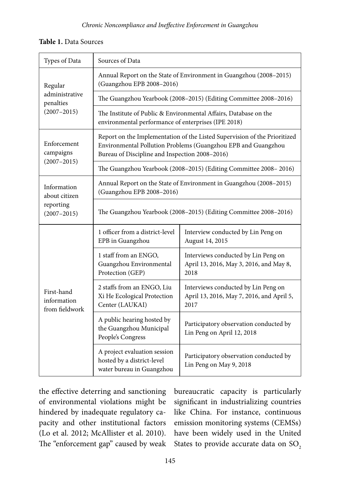### **Table 1.** Data Sources

| Types of Data                                                | Sources of Data                                                                                                                                                                              |                                                                                          |  |  |
|--------------------------------------------------------------|----------------------------------------------------------------------------------------------------------------------------------------------------------------------------------------------|------------------------------------------------------------------------------------------|--|--|
| Regular<br>administrative<br>penalties<br>$(2007 - 2015)$    | Annual Report on the State of Environment in Guangzhou (2008-2015)<br>(Guangzhou EPB 2008-2016)                                                                                              |                                                                                          |  |  |
|                                                              | The Guangzhou Yearbook (2008-2015) (Editing Committee 2008-2016)                                                                                                                             |                                                                                          |  |  |
|                                                              | The Institute of Public & Environmental Affairs, Database on the<br>environmental performance of enterprises (IPE 2018)                                                                      |                                                                                          |  |  |
| Enforcement<br>campaigns<br>$(2007 - 2015)$                  | Report on the Implementation of the Listed Supervision of the Prioritized<br>Environmental Pollution Problems (Guangzhou EPB and Guangzhou<br>Bureau of Discipline and Inspection 2008-2016) |                                                                                          |  |  |
|                                                              | The Guangzhou Yearbook (2008-2015) (Editing Committee 2008-2016)                                                                                                                             |                                                                                          |  |  |
| Information<br>about citizen<br>reporting<br>$(2007 - 2015)$ | Annual Report on the State of Environment in Guangzhou (2008-2015)<br>(Guangzhou EPB 2008-2016)                                                                                              |                                                                                          |  |  |
|                                                              | The Guangzhou Yearbook (2008-2015) (Editing Committee 2008-2016)                                                                                                                             |                                                                                          |  |  |
| First-hand<br>information<br>from fieldwork                  | 1 officer from a district-level<br>EPB in Guangzhou                                                                                                                                          | Interview conducted by Lin Peng on<br>August 14, 2015                                    |  |  |
|                                                              | 1 staff from an ENGO,<br>Guangzhou Environmental<br>Protection (GEP)                                                                                                                         | Interviews conducted by Lin Peng on<br>April 13, 2016, May 3, 2016, and May 8,<br>2018   |  |  |
|                                                              | 2 staffs from an ENGO, Liu<br>Xi He Ecological Protection<br>Center (LAUKAI)                                                                                                                 | Interviews conducted by Lin Peng on<br>April 13, 2016, May 7, 2016, and April 5,<br>2017 |  |  |
|                                                              | A public hearing hosted by<br>the Guangzhou Municipal<br>People's Congress                                                                                                                   | Participatory observation conducted by<br>Lin Peng on April 12, 2018                     |  |  |
|                                                              | A project evaluation session<br>hosted by a district-level<br>water bureau in Guangzhou                                                                                                      | Participatory observation conducted by<br>Lin Peng on May 9, 2018                        |  |  |

the effective deterring and sanctioning of environmental violations might be hindered by inadequate regulatory capacity and other institutional factors (Lo et al. 2012; McAllister et al. 2010). The "enforcement gap" caused by weak bureaucratic capacity is particularly significant in industrializing countries like China. For instance, continuous emission monitoring systems (CEMSs) have been widely used in the United States to provide accurate data on SO<sub>2</sub>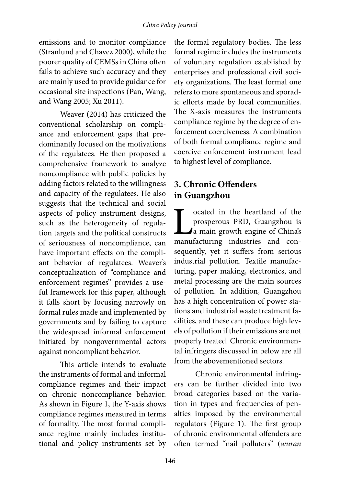emissions and to monitor compliance (Stranlund and Chavez 2000), while the poorer quality of CEMSs in China often fails to achieve such accuracy and they are mainly used to provide guidance for occasional site inspections (Pan, Wang, and Wang 2005; Xu 2011).

Weaver (2014) has criticized the conventional scholarship on compliance and enforcement gaps that predominantly focused on the motivations of the regulatees. He then proposed a comprehensive framework to analyze noncompliance with public policies by adding factors related to the willingness and capacity of the regulatees. He also suggests that the technical and social aspects of policy instrument designs, such as the heterogeneity of regulation targets and the political constructs of seriousness of noncompliance, can have important effects on the compliant behavior of regulatees. Weaver's conceptualization of "compliance and enforcement regimes" provides a useful framework for this paper, although it falls short by focusing narrowly on formal rules made and implemented by governments and by failing to capture the widespread informal enforcement initiated by nongovernmental actors against noncompliant behavior.

This article intends to evaluate the instruments of formal and informal compliance regimes and their impact on chronic noncompliance behavior. As shown in Figure 1, the Y-axis shows compliance regimes measured in terms of formality. The most formal compliance regime mainly includes institutional and policy instruments set by

the formal regulatory bodies. The less formal regime includes the instruments of voluntary regulation established by enterprises and professional civil society organizations. The least formal one refers to more spontaneous and sporadic efforts made by local communities. The X-axis measures the instruments compliance regime by the degree of enforcement coerciveness. A combination of both formal compliance regime and coercive enforcement instrument lead to highest level of compliance.

# **3. Chronic Offenders in Guangzhou**

cated in the heartland of the<br>prosperous PRD, Guangzhou is<br>a main growth engine of China's<br>manufacturing industries and conprosperous PRD, Guangzhou is a main growth engine of China's manufacturing industries and consequently, yet it suffers from serious industrial pollution. Textile manufacturing, paper making, electronics, and metal processing are the main sources of pollution. In addition, Guangzhou has a high concentration of power stations and industrial waste treatment facilities, and these can produce high levels of pollution if their emissions are not properly treated. Chronic environmental infringers discussed in below are all from the abovementioned sectors.

Chronic environmental infringers can be further divided into two broad categories based on the variation in types and frequencies of penalties imposed by the environmental regulators (Figure 1). The first group of chronic environmental offenders are often termed "nail polluters" (*wuran*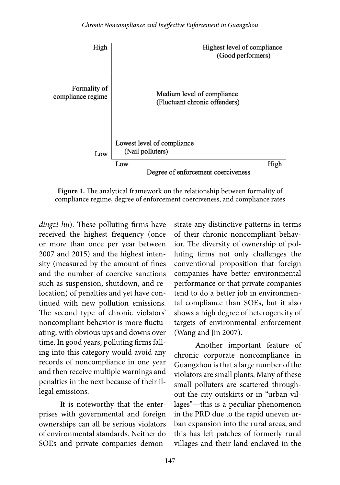

**Figure 1.** The analytical framework on the relationship between formality of compliance regime, degree of enforcement coerciveness, and compliance rates

*dingzi hu*). These polluting firms have received the highest frequency (once or more than once per year between 2007 and 2015) and the highest intensity (measured by the amount of fines and the number of coercive sanctions such as suspension, shutdown, and relocation) of penalties and yet have continued with new pollution emissions. The second type of chronic violators' noncompliant behavior is more fluctuating, with obvious ups and downs over time. In good years, polluting firms falling into this category would avoid any records of noncompliance in one year and then receive multiple warnings and penalties in the next because of their illegal emissions.

It is noteworthy that the enterprises with governmental and foreign ownerships can all be serious violators of environmental standards. Neither do SOEs and private companies demonstrate any distinctive patterns in terms of their chronic noncompliant behavior. The diversity of ownership of polluting firms not only challenges the conventional proposition that foreign companies have better environmental performance or that private companies tend to do a better job in environmental compliance than SOEs, but it also shows a high degree of heterogeneity of targets of environmental enforcement (Wang and Jin 2007).

Another important feature of chronic corporate noncompliance in Guangzhou is that a large number of the violators are small plants. Many of these small polluters are scattered throughout the city outskirts or in "urban villages"—this is a peculiar phenomenon in the PRD due to the rapid uneven urban expansion into the rural areas, and this has left patches of formerly rural villages and their land enclaved in the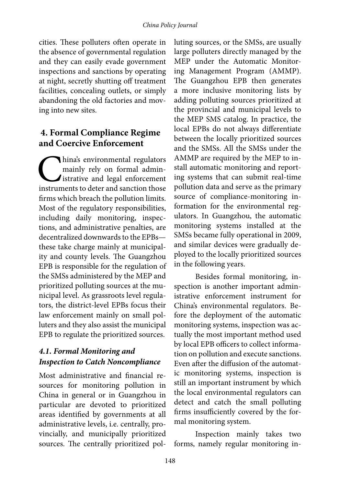cities. These polluters often operate in the absence of governmental regulation and they can easily evade government inspections and sanctions by operating at night, secretly shutting off treatment facilities, concealing outlets, or simply abandoning the old factories and moving into new sites.

## **4. Formal Compliance Regime and Coercive Enforcement**

**China's environmental regulators**<br>
mainly rely on formal admin-<br>
istrative and legal enforcement<br>
instruments to deter and sanction those mainly rely on formal administrative and legal enforcement firms which breach the pollution limits. Most of the regulatory responsibilities, including daily monitoring, inspections, and administrative penalties, are decentralized downwards to the EPBs these take charge mainly at municipality and county levels. The Guangzhou EPB is responsible for the regulation of the SMSs administered by the MEP and prioritized polluting sources at the municipal level. As grassroots level regulators, the district-level EPBs focus their law enforcement mainly on small polluters and they also assist the municipal EPB to regulate the prioritized sources.

# *4.1. Formal Monitoring and Inspection to Catch Noncompliance*

Most administrative and financial resources for monitoring pollution in China in general or in Guangzhou in particular are devoted to prioritized areas identified by governments at all administrative levels, i.e. centrally, provincially, and municipally prioritized sources. The centrally prioritized polluting sources, or the SMSs, are usually large polluters directly managed by the MEP under the Automatic Monitoring Management Program (AMMP). The Guangzhou EPB then generates a more inclusive monitoring lists by adding polluting sources prioritized at the provincial and municipal levels to the MEP SMS catalog. In practice, the local EPBs do not always differentiate between the locally prioritized sources and the SMSs. All the SMSs under the AMMP are required by the MEP to install automatic monitoring and reporting systems that can submit real-time pollution data and serve as the primary source of compliance-monitoring information for the environmental regulators. In Guangzhou, the automatic monitoring systems installed at the SMSs became fully operational in 2009, and similar devices were gradually deployed to the locally prioritized sources in the following years.

Besides formal monitoring, inspection is another important administrative enforcement instrument for China's environmental regulators. Before the deployment of the automatic monitoring systems, inspection was actually the most important method used by local EPB officers to collect information on pollution and execute sanctions. Even after the diffusion of the automatic monitoring systems, inspection is still an important instrument by which the local environmental regulators can detect and catch the small polluting firms insufficiently covered by the formal monitoring system.

Inspection mainly takes two forms, namely regular monitoring in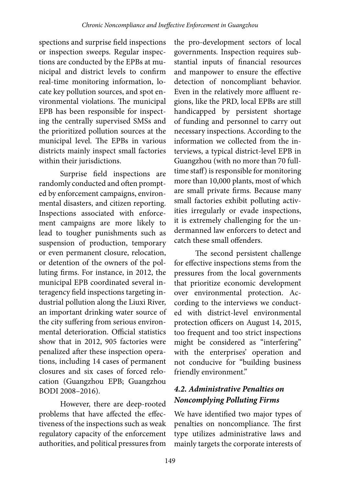spections and surprise field inspections or inspection sweeps. Regular inspections are conducted by the EPBs at municipal and district levels to confirm real-time monitoring information, locate key pollution sources, and spot environmental violations. The municipal EPB has been responsible for inspecting the centrally supervised SMSs and the prioritized pollution sources at the municipal level. The EPBs in various districts mainly inspect small factories within their jurisdictions.

Surprise field inspections are randomly conducted and often prompted by enforcement campaigns, environmental disasters, and citizen reporting. Inspections associated with enforcement campaigns are more likely to lead to tougher punishments such as suspension of production, temporary or even permanent closure, relocation, or detention of the owners of the polluting firms. For instance, in 2012, the municipal EPB coordinated several interagency field inspections targeting industrial pollution along the Liuxi River, an important drinking water source of the city suffering from serious environmental deterioration. Official statistics show that in 2012, 905 factories were penalized after these inspection operations, including 14 cases of permanent closures and six cases of forced relocation (Guangzhou EPB; Guangzhou BODI 2008–2016).

However, there are deep-rooted problems that have affected the effectiveness of the inspections such as weak regulatory capacity of the enforcement authorities, and political pressures from

the pro-development sectors of local governments. Inspection requires substantial inputs of financial resources and manpower to ensure the effective detection of noncompliant behavior. Even in the relatively more affluent regions, like the PRD, local EPBs are still handicapped by persistent shortage of funding and personnel to carry out necessary inspections. According to the information we collected from the interviews, a typical district-level EPB in Guangzhou (with no more than 70 fulltime staff) is responsible for monitoring more than 10,000 plants, most of which are small private firms. Because many small factories exhibit polluting activities irregularly or evade inspections, it is extremely challenging for the undermanned law enforcers to detect and catch these small offenders.

The second persistent challenge for effective inspections stems from the pressures from the local governments that prioritize economic development over environmental protection. According to the interviews we conducted with district-level environmental protection officers on August 14, 2015, too frequent and too strict inspections might be considered as "interfering" with the enterprises' operation and not conducive for "building business friendly environment."

### *4.2. Administrative Penalties on Noncomplying Polluting Firms*

We have identified two major types of penalties on noncompliance. The first type utilizes administrative laws and mainly targets the corporate interests of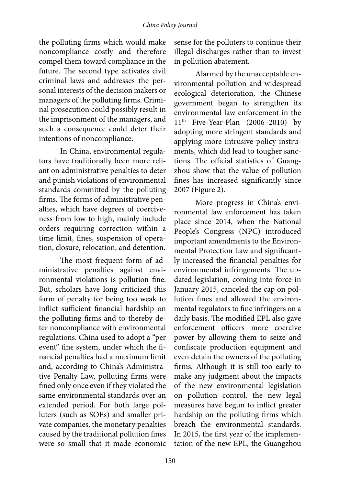#### *China Policy Journal*

the polluting firms which would make noncompliance costly and therefore compel them toward compliance in the future. The second type activates civil criminal laws and addresses the personal interests of the decision makers or managers of the polluting firms. Criminal prosecution could possibly result in the imprisonment of the managers, and such a consequence could deter their intentions of noncompliance.

In China, environmental regulators have traditionally been more reliant on administrative penalties to deter and punish violations of environmental standards committed by the polluting firms. The forms of administrative penalties, which have degrees of coerciveness from low to high, mainly include orders requiring correction within a time limit, fines, suspension of operation, closure, relocation, and detention.

The most frequent form of administrative penalties against environmental violations is pollution fine. But, scholars have long criticized this form of penalty for being too weak to inflict sufficient financial hardship on the polluting firms and to thereby deter noncompliance with environmental regulations. China used to adopt a "per event" fine system, under which the financial penalties had a maximum limit and, according to China's Administrative Penalty Law, polluting firms were fined only once even if they violated the same environmental standards over an extended period. For both large polluters (such as SOEs) and smaller private companies, the monetary penalties caused by the traditional pollution fines were so small that it made economic

sense for the polluters to continue their illegal discharges rather than to invest in pollution abatement.

Alarmed by the unacceptable environmental pollution and widespread ecological deterioration, the Chinese government began to strengthen its environmental law enforcement in the  $11<sup>th</sup>$  Five-Year-Plan (2006–2010) by adopting more stringent standards and applying more intrusive policy instruments, which did lead to tougher sanctions. The official statistics of Guangzhou show that the value of pollution fines has increased significantly since 2007 (Figure 2).

More progress in China's environmental law enforcement has taken place since 2014, when the National People's Congress (NPC) introduced important amendments to the Environmental Protection Law and significantly increased the financial penalties for environmental infringements. The updated legislation, coming into force in January 2015, canceled the cap on pollution fines and allowed the environmental regulators to fine infringers on a daily basis. The modified EPL also gave enforcement officers more coercive power by allowing them to seize and confiscate production equipment and even detain the owners of the polluting firms. Although it is still too early to make any judgment about the impacts of the new environmental legislation on pollution control, the new legal measures have begun to inflict greater hardship on the polluting firms which breach the environmental standards. In 2015, the first year of the implementation of the new EPL, the Guangzhou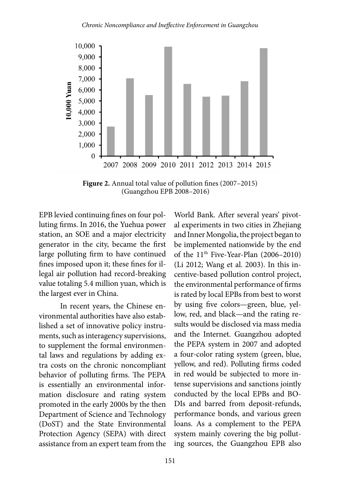

**Figure 2.** Annual total value of pollution fines (2007–2015) (Guangzhou EPB 2008–2016)

EPB levied continuing fines on four polluting firms. In 2016, the Yuehua power station, an SOE and a major electricity generator in the city, became the first large polluting firm to have continued fines imposed upon it; these fines for illegal air pollution had record-breaking value totaling 5.4 million yuan, which is the largest ever in China.

In recent years, the Chinese environmental authorities have also established a set of innovative policy instruments, such as interagency supervisions, to supplement the formal environmental laws and regulations by adding extra costs on the chronic noncompliant behavior of polluting firms. The PEPA is essentially an environmental information disclosure and rating system promoted in the early 2000s by the then Department of Science and Technology (DoST) and the State Environmental Protection Agency (SEPA) with direct assistance from an expert team from the World Bank. After several years' pivotal experiments in two cities in Zhejiang and Inner Mongolia, the project began to be implemented nationwide by the end of the  $11<sup>th</sup>$  Five-Year-Plan (2006–2010) (Li 2012; Wang et al. 2003). In this incentive-based pollution control project, the environmental performance of firms is rated by local EPBs from best to worst by using five colors—green, blue, yellow, red, and black—and the rating results would be disclosed via mass media and the Internet. Guangzhou adopted the PEPA system in 2007 and adopted a four-color rating system (green, blue, yellow, and red). Polluting firms coded in red would be subjected to more intense supervisions and sanctions jointly conducted by the local EPBs and BO-DIs and barred from deposit-refunds, performance bonds, and various green loans. As a complement to the PEPA system mainly covering the big polluting sources, the Guangzhou EPB also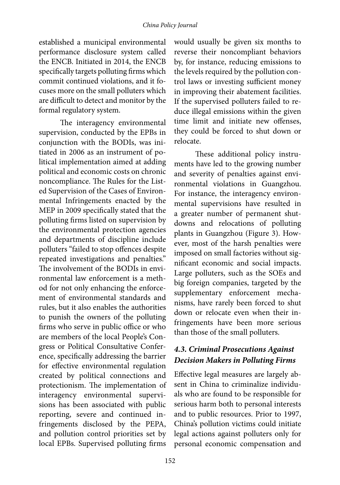#### *China Policy Journal*

established a municipal environmental performance disclosure system called the ENCB. Initiated in 2014, the ENCB specifically targets polluting firms which commit continued violations, and it focuses more on the small polluters which are difficult to detect and monitor by the formal regulatory system.

The interagency environmental supervision, conducted by the EPBs in conjunction with the BODIs, was initiated in 2006 as an instrument of political implementation aimed at adding political and economic costs on chronic noncompliance. The Rules for the Listed Supervision of the Cases of Environmental Infringements enacted by the MEP in 2009 specifically stated that the polluting firms listed on supervision by the environmental protection agencies and departments of discipline include polluters "failed to stop offences despite repeated investigations and penalties." The involvement of the BODIs in environmental law enforcement is a method for not only enhancing the enforcement of environmental standards and rules, but it also enables the authorities to punish the owners of the polluting firms who serve in public office or who are members of the local People's Congress or Political Consultative Conference, specifically addressing the barrier for effective environmental regulation created by political connections and protectionism. The implementation of interagency environmental supervisions has been associated with public reporting, severe and continued infringements disclosed by the PEPA, and pollution control priorities set by local EPBs. Supervised polluting firms

would usually be given six months to reverse their noncompliant behaviors by, for instance, reducing emissions to the levels required by the pollution control laws or investing sufficient money in improving their abatement facilities. If the supervised polluters failed to reduce illegal emissions within the given time limit and initiate new offenses, they could be forced to shut down or relocate.

These additional policy instruments have led to the growing number and severity of penalties against environmental violations in Guangzhou. For instance, the interagency environmental supervisions have resulted in a greater number of permanent shutdowns and relocations of polluting plants in Guangzhou (Figure 3). However, most of the harsh penalties were imposed on small factories without significant economic and social impacts. Large polluters, such as the SOEs and big foreign companies, targeted by the supplementary enforcement mechanisms, have rarely been forced to shut down or relocate even when their infringements have been more serious than those of the small polluters.

### *4.3. Criminal Prosecutions Against Decision Makers in Polluting Firms*

Effective legal measures are largely absent in China to criminalize individuals who are found to be responsible for serious harm both to personal interests and to public resources. Prior to 1997, China's pollution victims could initiate legal actions against polluters only for personal economic compensation and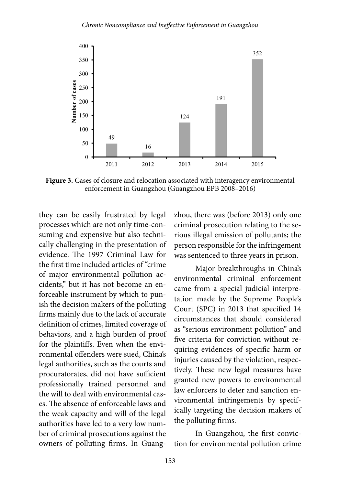

**Figure 3.** Cases of closure and relocation associated with interagency environmental enforcement in Guangzhou (Guangzhou EPB 2008–2016)

they can be easily frustrated by legal processes which are not only time-consuming and expensive but also technically challenging in the presentation of evidence. The 1997 Criminal Law for the first time included articles of "crime of major environmental pollution accidents," but it has not become an enforceable instrument by which to punish the decision makers of the polluting firms mainly due to the lack of accurate definition of crimes, limited coverage of behaviors, and a high burden of proof for the plaintiffs. Even when the environmental offenders were sued, China's legal authorities, such as the courts and procuratorates, did not have sufficient professionally trained personnel and the will to deal with environmental cases. The absence of enforceable laws and the weak capacity and will of the legal authorities have led to a very low number of criminal prosecutions against the owners of polluting firms. In Guangzhou, there was (before 2013) only one criminal prosecution relating to the serious illegal emission of pollutants; the person responsible for the infringement was sentenced to three years in prison.

Major breakthroughs in China's environmental criminal enforcement came from a special judicial interpretation made by the Supreme People's Court (SPC) in 2013 that specified 14 circumstances that should considered as "serious environment pollution" and five criteria for conviction without requiring evidences of specific harm or injuries caused by the violation, respectively. These new legal measures have granted new powers to environmental law enforcers to deter and sanction environmental infringements by specifically targeting the decision makers of the polluting firms.

In Guangzhou, the first conviction for environmental pollution crime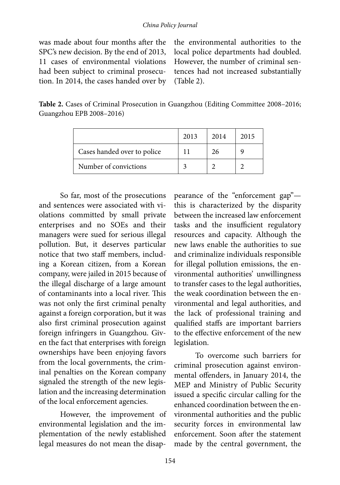was made about four months after the SPC's new decision. By the end of 2013, 11 cases of environmental violations had been subject to criminal prosecution. In 2014, the cases handed over by

the environmental authorities to the local police departments had doubled. However, the number of criminal sentences had not increased substantially (Table 2).

**Table 2.** Cases of Criminal Prosecution in Guangzhou (Editing Committee 2008–2016; Guangzhou EPB 2008–2016)

|                             | 2013 | 2014 | 2015 |
|-----------------------------|------|------|------|
| Cases handed over to police |      | 26   |      |
| Number of convictions       |      |      |      |

So far, most of the prosecutions and sentences were associated with violations committed by small private enterprises and no SOEs and their managers were sued for serious illegal pollution. But, it deserves particular notice that two staff members, including a Korean citizen, from a Korean company, were jailed in 2015 because of the illegal discharge of a large amount of contaminants into a local river. This was not only the first criminal penalty against a foreign corporation, but it was also first criminal prosecution against foreign infringers in Guangzhou. Given the fact that enterprises with foreign ownerships have been enjoying favors from the local governments, the criminal penalties on the Korean company signaled the strength of the new legislation and the increasing determination of the local enforcement agencies.

However, the improvement of environmental legislation and the implementation of the newly established legal measures do not mean the disap-

pearance of the "enforcement gap" this is characterized by the disparity between the increased law enforcement tasks and the insufficient regulatory resources and capacity. Although the new laws enable the authorities to sue and criminalize individuals responsible for illegal pollution emissions, the environmental authorities' unwillingness to transfer cases to the legal authorities, the weak coordination between the environmental and legal authorities, and the lack of professional training and qualified staffs are important barriers to the effective enforcement of the new legislation.

To overcome such barriers for criminal prosecution against environmental offenders, in January 2014, the MEP and Ministry of Public Security issued a specific circular calling for the enhanced coordination between the environmental authorities and the public security forces in environmental law enforcement. Soon after the statement made by the central government, the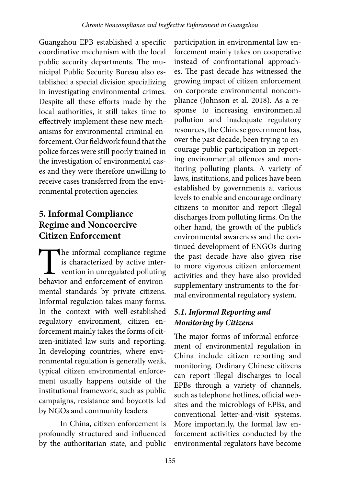Guangzhou EPB established a specific coordinative mechanism with the local public security departments. The municipal Public Security Bureau also established a special division specializing in investigating environmental crimes. Despite all these efforts made by the local authorities, it still takes time to effectively implement these new mechanisms for environmental criminal enforcement. Our fieldwork found that the police forces were still poorly trained in the investigation of environmental cases and they were therefore unwilling to receive cases transferred from the environmental protection agencies.

# **5. Informal Compliance Regime and Noncoercive Citizen Enforcement**

The informal compliance regime<br>is characterized by active inter-<br>vention in unregulated polluting<br>behavior and enforcement of environis characterized by active inter- $\mathsf{\mathsf{L}}$  vention in unregulated polluting behavior and enforcement of environmental standards by private citizens. Informal regulation takes many forms. In the context with well-established regulatory environment, citizen enforcement mainly takes the forms of citizen-initiated law suits and reporting. In developing countries, where environmental regulation is generally weak, typical citizen environmental enforcement usually happens outside of the institutional framework, such as public campaigns, resistance and boycotts led by NGOs and community leaders.

In China, citizen enforcement is profoundly structured and influenced by the authoritarian state, and public

participation in environmental law enforcement mainly takes on cooperative instead of confrontational approaches. The past decade has witnessed the growing impact of citizen enforcement on corporate environmental noncompliance (Johnson et al. 2018). As a response to increasing environmental pollution and inadequate regulatory resources, the Chinese government has, over the past decade, been trying to encourage public participation in reporting environmental offences and monitoring polluting plants. A variety of laws, institutions, and polices have been established by governments at various levels to enable and encourage ordinary citizens to monitor and report illegal discharges from polluting firms. On the other hand, the growth of the public's environmental awareness and the continued development of ENGOs during the past decade have also given rise to more vigorous citizen enforcement activities and they have also provided supplementary instruments to the formal environmental regulatory system.

# *5.1. Informal Reporting and Monitoring by Citizens*

The major forms of informal enforcement of environmental regulation in China include citizen reporting and monitoring. Ordinary Chinese citizens can report illegal discharges to local EPBs through a variety of channels, such as telephone hotlines, official websites and the microblogs of EPBs, and conventional letter-and-visit systems. More importantly, the formal law enforcement activities conducted by the environmental regulators have become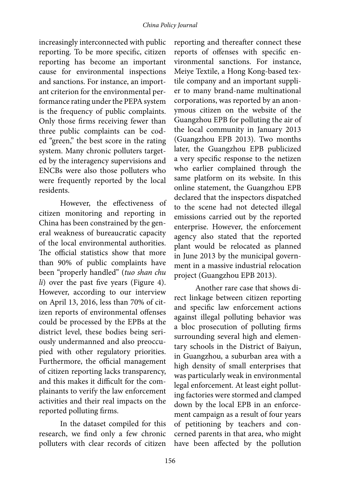increasingly interconnected with public reporting. To be more specific, citizen reporting has become an important cause for environmental inspections and sanctions. For instance, an important criterion for the environmental performance rating under the PEPA system is the frequency of public complaints. Only those firms receiving fewer than three public complaints can be coded "green," the best score in the rating system. Many chronic polluters targeted by the interagency supervisions and ENCBs were also those polluters who were frequently reported by the local residents.

However, the effectiveness of citizen monitoring and reporting in China has been constrained by the general weakness of bureaucratic capacity of the local environmental authorities. The official statistics show that more than 90% of public complaints have been "properly handled" (*tuo shan chu li*) over the past five years (Figure 4). However, according to our interview on April 13, 2016, less than 70% of citizen reports of environmental offenses could be processed by the EPBs at the district level, these bodies being seriously undermanned and also preoccupied with other regulatory priorities. Furthermore, the official management of citizen reporting lacks transparency, and this makes it difficult for the complainants to verify the law enforcement activities and their real impacts on the reported polluting firms.

In the dataset compiled for this research, we find only a few chronic polluters with clear records of citizen

reporting and thereafter connect these reports of offenses with specific environmental sanctions. For instance, Meiye Textile, a Hong Kong-based textile company and an important supplier to many brand-name multinational corporations, was reported by an anonymous citizen on the website of the Guangzhou EPB for polluting the air of the local community in January 2013 (Guangzhou EPB 2013). Two months later, the Guangzhou EPB publicized a very specific response to the netizen who earlier complained through the same platform on its website. In this online statement, the Guangzhou EPB declared that the inspectors dispatched to the scene had not detected illegal emissions carried out by the reported enterprise. However, the enforcement agency also stated that the reported plant would be relocated as planned in June 2013 by the municipal government in a massive industrial relocation project (Guangzhou EPB 2013).

Another rare case that shows direct linkage between citizen reporting and specific law enforcement actions against illegal polluting behavior was a bloc prosecution of polluting firms surrounding several high and elementary schools in the District of Baiyun, in Guangzhou, a suburban area with a high density of small enterprises that was particularly weak in environmental legal enforcement. At least eight polluting factories were stormed and clamped down by the local EPB in an enforcement campaign as a result of four years of petitioning by teachers and concerned parents in that area, who might have been affected by the pollution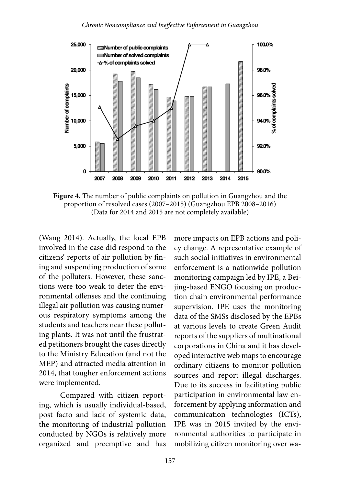

**Figure 4.** The number of public complaints on pollution in Guangzhou and the proportion of resolved cases (2007–2015) (Guangzhou EPB 2008–2016) (Data for 2014 and 2015 are not completely available)

(Wang 2014). Actually, the local EPB involved in the case did respond to the citizens' reports of air pollution by fining and suspending production of some of the polluters. However, these sanctions were too weak to deter the environmental offenses and the continuing illegal air pollution was causing numerous respiratory symptoms among the students and teachers near these polluting plants. It was not until the frustrated petitioners brought the cases directly to the Ministry Education (and not the MEP) and attracted media attention in 2014, that tougher enforcement actions were implemented.

Compared with citizen reporting, which is usually individual-based, post facto and lack of systemic data, the monitoring of industrial pollution conducted by NGOs is relatively more organized and preemptive and has

more impacts on EPB actions and policy change. A representative example of such social initiatives in environmental enforcement is a nationwide pollution monitoring campaign led by IPE, a Beijing-based ENGO focusing on production chain environmental performance supervision. IPE uses the monitoring data of the SMSs disclosed by the EPBs at various levels to create Green Audit reports of the suppliers of multinational corporations in China and it has developed interactive web maps to encourage ordinary citizens to monitor pollution sources and report illegal discharges. Due to its success in facilitating public participation in environmental law enforcement by applying information and communication technologies (ICTs), IPE was in 2015 invited by the environmental authorities to participate in mobilizing citizen monitoring over wa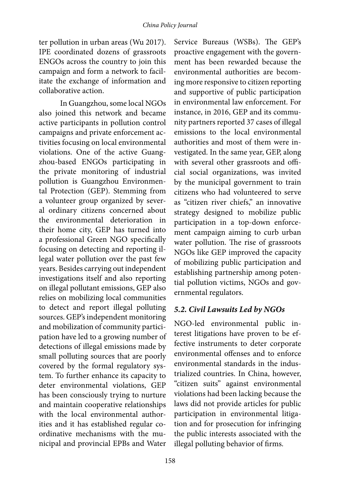ter pollution in urban areas (Wu 2017). IPE coordinated dozens of grassroots ENGOs across the country to join this campaign and form a network to facilitate the exchange of information and collaborative action.

In Guangzhou, some local NGOs also joined this network and became active participants in pollution control campaigns and private enforcement activities focusing on local environmental violations. One of the active Guangzhou-based ENGOs participating in the private monitoring of industrial pollution is Guangzhou Environmental Protection (GEP). Stemming from a volunteer group organized by several ordinary citizens concerned about the environmental deterioration in their home city, GEP has turned into a professional Green NGO specifically focusing on detecting and reporting illegal water pollution over the past few years. Besides carrying out independent investigations itself and also reporting on illegal pollutant emissions, GEP also relies on mobilizing local communities to detect and report illegal polluting sources. GEP's independent monitoring and mobilization of community participation have led to a growing number of detections of illegal emissions made by small polluting sources that are poorly covered by the formal regulatory system. To further enhance its capacity to deter environmental violations, GEP has been consciously trying to nurture and maintain cooperative relationships with the local environmental authorities and it has established regular coordinative mechanisms with the municipal and provincial EPBs and Water

Service Bureaus (WSBs). The GEP's proactive engagement with the government has been rewarded because the environmental authorities are becoming more responsive to citizen reporting and supportive of public participation in environmental law enforcement. For instance, in 2016, GEP and its community partners reported 37 cases of illegal emissions to the local environmental authorities and most of them were investigated. In the same year, GEP, along with several other grassroots and official social organizations, was invited by the municipal government to train citizens who had volunteered to serve as "citizen river chiefs," an innovative strategy designed to mobilize public participation in a top-down enforcement campaign aiming to curb urban water pollution. The rise of grassroots NGOs like GEP improved the capacity of mobilizing public participation and establishing partnership among potential pollution victims, NGOs and governmental regulators.

### *5.2. Civil Lawsuits Led by NGOs*

NGO-led environmental public interest litigations have proven to be effective instruments to deter corporate environmental offenses and to enforce environmental standards in the industrialized countries. In China, however, "citizen suits" against environmental violations had been lacking because the laws did not provide articles for public participation in environmental litigation and for prosecution for infringing the public interests associated with the illegal polluting behavior of firms.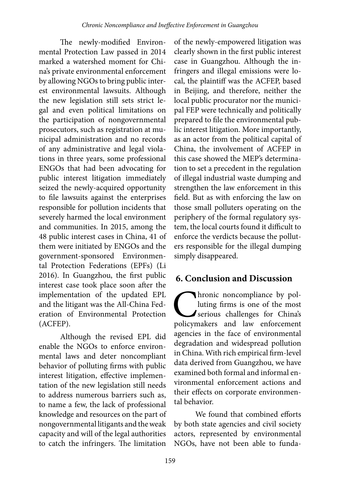The newly-modified Environmental Protection Law passed in 2014 marked a watershed moment for China's private environmental enforcement by allowing NGOs to bring public interest environmental lawsuits. Although the new legislation still sets strict legal and even political limitations on the participation of nongovernmental prosecutors, such as registration at municipal administration and no records of any administrative and legal violations in three years, some professional ENGOs that had been advocating for public interest litigation immediately seized the newly-acquired opportunity to file lawsuits against the enterprises responsible for pollution incidents that severely harmed the local environment and communities. In 2015, among the 48 public interest cases in China, 41 of them were initiated by ENGOs and the government-sponsored Environmental Protection Federations (EPFs) (Li 2016). In Guangzhou, the first public interest case took place soon after the implementation of the updated EPL and the litigant was the All-China Federation of Environmental Protection (ACFEP).

Although the revised EPL did enable the NGOs to enforce environmental laws and deter noncompliant behavior of polluting firms with public interest litigation, effective implementation of the new legislation still needs to address numerous barriers such as, to name a few, the lack of professional knowledge and resources on the part of nongovernmental litigants and the weak capacity and will of the legal authorities to catch the infringers. The limitation

of the newly-empowered litigation was clearly shown in the first public interest case in Guangzhou. Although the infringers and illegal emissions were local, the plaintiff was the ACFEP, based in Beijing, and therefore, neither the local public procurator nor the municipal FEP were technically and politically prepared to file the environmental public interest litigation. More importantly, as an actor from the political capital of China, the involvement of ACFEP in this case showed the MEP's determination to set a precedent in the regulation of illegal industrial waste dumping and strengthen the law enforcement in this field. But as with enforcing the law on those small polluters operating on the periphery of the formal regulatory system, the local courts found it difficult to enforce the verdicts because the polluters responsible for the illegal dumping simply disappeared.

# **6. Conclusion and Discussion**

Chronic noncompliance by polluting firms is one of the most serious challenges for China's policymakers and law enforcement luting firms is one of the most serious challenges for China's agencies in the face of environmental degradation and widespread pollution in China. With rich empirical firm-level data derived from Guangzhou, we have examined both formal and informal environmental enforcement actions and their effects on corporate environmental behavior.

We found that combined efforts by both state agencies and civil society actors, represented by environmental NGOs, have not been able to funda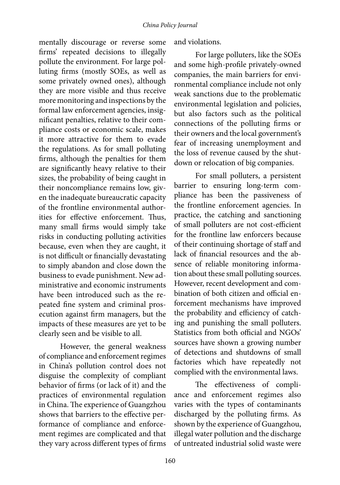mentally discourage or reverse some firms' repeated decisions to illegally pollute the environment. For large polluting firms (mostly SOEs, as well as some privately owned ones), although they are more visible and thus receive more monitoring and inspections by the formal law enforcement agencies, insignificant penalties, relative to their compliance costs or economic scale, makes it more attractive for them to evade the regulations. As for small polluting firms, although the penalties for them are significantly heavy relative to their sizes, the probability of being caught in their noncompliance remains low, given the inadequate bureaucratic capacity of the frontline environmental authorities for effective enforcement. Thus, many small firms would simply take risks in conducting polluting activities because, even when they are caught, it is not difficult or financially devastating to simply abandon and close down the business to evade punishment. New administrative and economic instruments have been introduced such as the repeated fine system and criminal prosecution against firm managers, but the impacts of these measures are yet to be clearly seen and be visible to all.

However, the general weakness of compliance and enforcement regimes in China's pollution control does not disguise the complexity of compliant behavior of firms (or lack of it) and the practices of environmental regulation in China. The experience of Guangzhou shows that barriers to the effective performance of compliance and enforcement regimes are complicated and that they vary across different types of firms and violations.

For large polluters, like the SOEs and some high-profile privately-owned companies, the main barriers for environmental compliance include not only weak sanctions due to the problematic environmental legislation and policies, but also factors such as the political connections of the polluting firms or their owners and the local government's fear of increasing unemployment and the loss of revenue caused by the shutdown or relocation of big companies.

For small polluters, a persistent barrier to ensuring long-term compliance has been the passiveness of the frontline enforcement agencies. In practice, the catching and sanctioning of small polluters are not cost-efficient for the frontline law enforcers because of their continuing shortage of staff and lack of financial resources and the absence of reliable monitoring information about these small polluting sources. However, recent development and combination of both citizen and official enforcement mechanisms have improved the probability and efficiency of catching and punishing the small polluters. Statistics from both official and NGOs' sources have shown a growing number of detections and shutdowns of small factories which have repeatedly not complied with the environmental laws.

The effectiveness of compliance and enforcement regimes also varies with the types of contaminants discharged by the polluting firms. As shown by the experience of Guangzhou, illegal water pollution and the discharge of untreated industrial solid waste were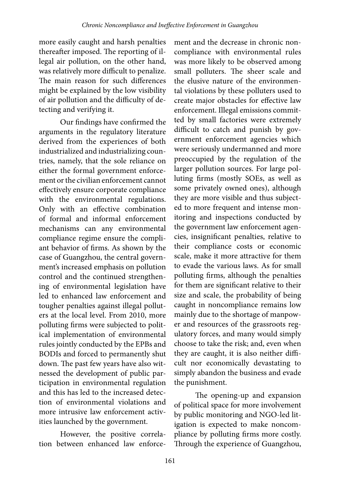more easily caught and harsh penalties thereafter imposed. The reporting of illegal air pollution, on the other hand, was relatively more difficult to penalize. The main reason for such differences might be explained by the low visibility of air pollution and the difficulty of detecting and verifying it.

Our findings have confirmed the arguments in the regulatory literature derived from the experiences of both industrialized and industrializing countries, namely, that the sole reliance on either the formal government enforcement or the civilian enforcement cannot effectively ensure corporate compliance with the environmental regulations. Only with an effective combination of formal and informal enforcement mechanisms can any environmental compliance regime ensure the compliant behavior of firms. As shown by the case of Guangzhou, the central government's increased emphasis on pollution control and the continued strengthening of environmental legislation have led to enhanced law enforcement and tougher penalties against illegal polluters at the local level. From 2010, more polluting firms were subjected to political implementation of environmental rules jointly conducted by the EPBs and BODIs and forced to permanently shut down. The past few years have also witnessed the development of public participation in environmental regulation and this has led to the increased detection of environmental violations and more intrusive law enforcement activities launched by the government.

However, the positive correlation between enhanced law enforce-

ment and the decrease in chronic noncompliance with environmental rules was more likely to be observed among small polluters. The sheer scale and the elusive nature of the environmental violations by these polluters used to create major obstacles for effective law enforcement. Illegal emissions committed by small factories were extremely difficult to catch and punish by government enforcement agencies which were seriously undermanned and more preoccupied by the regulation of the larger pollution sources. For large polluting firms (mostly SOEs, as well as some privately owned ones), although they are more visible and thus subjected to more frequent and intense monitoring and inspections conducted by the government law enforcement agencies, insignificant penalties, relative to their compliance costs or economic scale, make it more attractive for them to evade the various laws. As for small polluting firms, although the penalties for them are significant relative to their size and scale, the probability of being caught in noncompliance remains low mainly due to the shortage of manpower and resources of the grassroots regulatory forces, and many would simply choose to take the risk; and, even when they are caught, it is also neither difficult nor economically devastating to simply abandon the business and evade the punishment.

The opening-up and expansion of political space for more involvement by public monitoring and NGO-led litigation is expected to make noncompliance by polluting firms more costly. Through the experience of Guangzhou,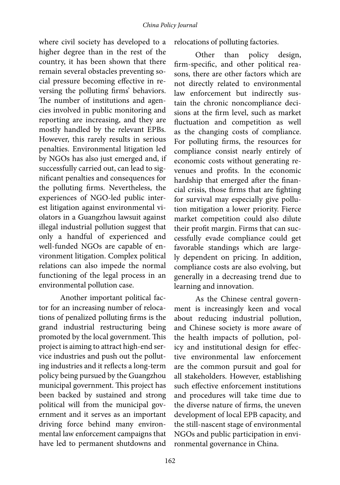where civil society has developed to a higher degree than in the rest of the country, it has been shown that there remain several obstacles preventing social pressure becoming effective in reversing the polluting firms' behaviors. The number of institutions and agencies involved in public monitoring and reporting are increasing, and they are mostly handled by the relevant EPBs. However, this rarely results in serious penalties. Environmental litigation led by NGOs has also just emerged and, if successfully carried out, can lead to significant penalties and consequences for the polluting firms. Nevertheless, the experiences of NGO-led public interest litigation against environmental violators in a Guangzhou lawsuit against illegal industrial pollution suggest that only a handful of experienced and well-funded NGOs are capable of environment litigation. Complex political relations can also impede the normal functioning of the legal process in an environmental pollution case.

Another important political factor for an increasing number of relocations of penalized polluting firms is the grand industrial restructuring being promoted by the local government. This project is aiming to attract high-end service industries and push out the polluting industries and it reflects a long-term policy being pursued by the Guangzhou municipal government. This project has been backed by sustained and strong political will from the municipal government and it serves as an important driving force behind many environmental law enforcement campaigns that have led to permanent shutdowns and

relocations of polluting factories.

Other than policy design, firm-specific, and other political reasons, there are other factors which are not directly related to environmental law enforcement but indirectly sustain the chronic noncompliance decisions at the firm level, such as market fluctuation and competition as well as the changing costs of compliance. For polluting firms, the resources for compliance consist nearly entirely of economic costs without generating revenues and profits. In the economic hardship that emerged after the financial crisis, those firms that are fighting for survival may especially give pollution mitigation a lower priority. Fierce market competition could also dilute their profit margin. Firms that can successfully evade compliance could get favorable standings which are largely dependent on pricing. In addition, compliance costs are also evolving, but generally in a decreasing trend due to learning and innovation.

As the Chinese central government is increasingly keen and vocal about reducing industrial pollution, and Chinese society is more aware of the health impacts of pollution, policy and institutional design for effective environmental law enforcement are the common pursuit and goal for all stakeholders. However, establishing such effective enforcement institutions and procedures will take time due to the diverse nature of firms, the uneven development of local EPB capacity, and the still-nascent stage of environmental NGOs and public participation in environmental governance in China.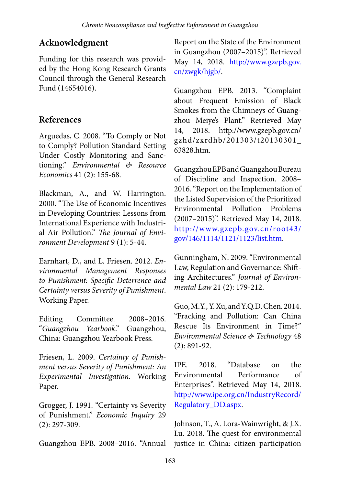# **Acknowledgment**

Funding for this research was provided by the Hong Kong Research Grants Council through the General Research Fund (14654016).

# **References**

Arguedas, C. 2008. "To Comply or Not to Comply? Pollution Standard Setting Under Costly Monitoring and Sanctioning." *Environmental & Resource Economics* 41 (2): 155-68.

Blackman, A., and W. Harrington. 2000. "The Use of Economic Incentives in Developing Countries: Lessons from International Experience with Industrial Air Pollution." *The Journal of Environment Development* 9 (1): 5-44.

Earnhart, D., and L. Friesen. 2012. *Environmental Management Responses to Punishment: Specific Deterrence and Certainty versus Severity of Punishment*. Working Paper.

Editing Committee. 2008–2016. "*Guangzhou Yearbook*." Guangzhou, China: Guangzhou Yearbook Press.

Friesen, L. 2009. *Certainty of Punishment versus Severity of Punishment: An Experimental Investigation*. Working Paper.

Grogger, J. 1991. "Certainty vs Severity of Punishment." *Economic Inquiry* 29 (2): 297-309.

Guangzhou EPB. 2008–2016. "Annual

Report on the State of the Environment in Guangzhou (2007–2015)". Retrieved May 14, 2018. [http://www.gzepb.gov.](http://www.gzepb.gov.cn/zwgk/hjgb/) [cn/zwgk/hjgb/](http://www.gzepb.gov.cn/zwgk/hjgb/).

Guangzhou EPB. 2013. "Complaint about Frequent Emission of Black Smokes from the Chimneys of Guangzhou Meiye's Plant." Retrieved May 14, 2018. http://www.gzepb.gov.cn/ gzhd/zxrdhb/201303/t20130301\_ 63828.htm.

Guangzhou EPB and Guangzhou Bureau of Discipline and Inspection. 2008– 2016. "Report on the Implementation of the Listed Supervision of the Prioritized Environmental Pollution Problems (2007–2015)". Retrieved May 14, 2018. [http://www.gzepb.gov.cn/root43/](http://www.gzepb.gov.cn/root43/gov/146/1114/1121/1123/list.htm) [gov/146/1114/1121/1123/list.htm.](http://www.gzepb.gov.cn/root43/gov/146/1114/1121/1123/list.htm)

Gunningham, N. 2009. "Environmental Law, Regulation and Governance: Shifting Architectures." *Journal of Environmental Law* 21 (2): 179-212.

Guo, M.Y., Y. Xu, and Y.Q.D. Chen. 2014. "Fracking and Pollution: Can China Rescue Its Environment in Time?" *Environmental Science & Technology* 48 (2): 891-92.

IPE. 2018. "Database on the Environmental Performance of Enterprises". Retrieved May 14, 2018. [http://www.ipe.org.cn/IndustryRecord/](http://www.ipe.org.cn/IndustryRecord/Regulatory_DD.aspx) [Regulatory\\_DD.aspx.](http://www.ipe.org.cn/IndustryRecord/Regulatory_DD.aspx)

Johnson, T., A. Lora-Wainwright, & J.X. Lu. 2018. The quest for environmental justice in China: citizen participation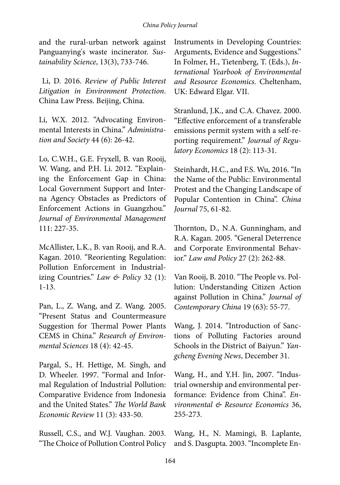#### *China Policy Journal*

and the rural-urban network against Panguanying's waste incinerator. *Sustainability Science*, 13(3), 733-746.

 Li, D. 2016. *Review of Public Interest Litigation in Environment Protection*. China Law Press. Beijing, China.

Li, W.X. 2012. "Advocating Environmental Interests in China." *Administration and Society* 44 (6): 26-42.

Lo, C.W.H., G.E. Fryxell, B. van Rooij, W. Wang, and P.H. Li. 2012. "Explaining the Enforcement Gap in China: Local Government Support and Interna Agency Obstacles as Predictors of Enforcement Actions in Guangzhou." *Journal of Environmental Management* 111: 227-35.

McAllister, L.K., B. van Rooij, and R.A. Kagan. 2010. "Reorienting Regulation: Pollution Enforcement in Industrializing Countries." *Law & Policy* 32 (1): 1-13.

Pan, L., Z. Wang, and Z. Wang. 2005. "Present Status and Countermeasure Suggestion for Thermal Power Plants CEMS in China." *Research of Environmental Sciences* 18 (4): 42-45.

Pargal, S., H. Hettige, M. Singh, and D. Wheeler. 1997. "Formal and Informal Regulation of Industrial Pollution: Comparative Evidence from Indonesia and the United States." *The World Bank Economic Review* 11 (3): 433-50.

Russell, C.S., and W.J. Vaughan. 2003. "The Choice of Pollution Control Policy Instruments in Developing Countries: Arguments, Evidence and Suggestions." In Folmer, H., Tietenberg, T. (Eds.), *International Yearbook of Environmental and Resource Economics*. Cheltenham, UK: Edward Elgar. VII.

Stranlund, J.K., and C.A. Chavez. 2000. "Effective enforcement of a transferable emissions permit system with a self-reporting requirement." *Journal of Regulatory Economics* 18 (2): 113-31.

Steinhardt, H.C., and F.S. Wu, 2016. "In the Name of the Public: Environmental Protest and the Changing Landscape of Popular Contention in China". *China Journal* 75, 61-82.

Thornton, D., N.A. Gunningham, and R.A. Kagan. 2005. "General Deterrence and Corporate Environmental Behavior." *Law and Policy* 27 (2): 262-88.

Van Rooij, B. 2010. "The People vs. Pollution: Understanding Citizen Action against Pollution in China." *Journal of Contemporary China* 19 (63): 55-77.

Wang, J. 2014. "Introduction of Sanctions of Polluting Factories around Schools in the District of Baiyun." *Yangcheng Evening News*, December 31.

Wang, H., and Y.H. Jin, 2007. "Industrial ownership and environmental performance: Evidence from China". *Environmental & Resource Economics* 36, 255-273.

Wang, H., N. Mamingi, B. Laplante, and S. Dasgupta. 2003. "Incomplete En